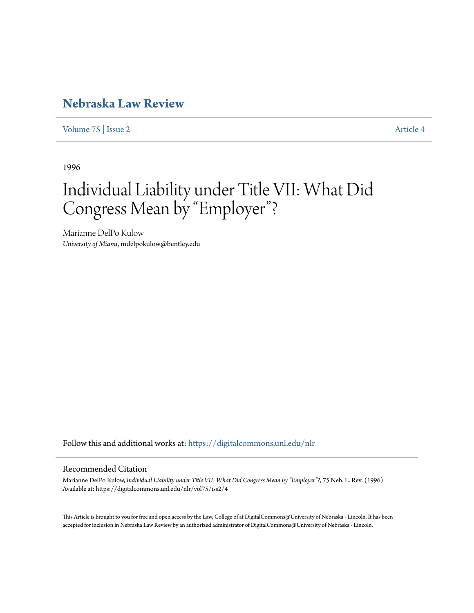## **[Nebraska Law Review](https://digitalcommons.unl.edu/nlr?utm_source=digitalcommons.unl.edu%2Fnlr%2Fvol75%2Fiss2%2F4&utm_medium=PDF&utm_campaign=PDFCoverPages)**

[Volume 75](https://digitalcommons.unl.edu/nlr/vol75?utm_source=digitalcommons.unl.edu%2Fnlr%2Fvol75%2Fiss2%2F4&utm_medium=PDF&utm_campaign=PDFCoverPages) | [Issue 2](https://digitalcommons.unl.edu/nlr/vol75/iss2?utm_source=digitalcommons.unl.edu%2Fnlr%2Fvol75%2Fiss2%2F4&utm_medium=PDF&utm_campaign=PDFCoverPages) [Article 4](https://digitalcommons.unl.edu/nlr/vol75/iss2/4?utm_source=digitalcommons.unl.edu%2Fnlr%2Fvol75%2Fiss2%2F4&utm_medium=PDF&utm_campaign=PDFCoverPages)

1996

## Individual Liability under Title VII: What Did Congress Mean by "Employer"?

Marianne DelPo Kulow *University of Miami*, mdelpokulow@bentley.edu

Follow this and additional works at: [https://digitalcommons.unl.edu/nlr](https://digitalcommons.unl.edu/nlr?utm_source=digitalcommons.unl.edu%2Fnlr%2Fvol75%2Fiss2%2F4&utm_medium=PDF&utm_campaign=PDFCoverPages)

## Recommended Citation

Marianne DelPo Kulow, *Individual Liability under Title VII: What Did Congress Mean by "Employer"?*, 75 Neb. L. Rev. (1996) Available at: https://digitalcommons.unl.edu/nlr/vol75/iss2/4

This Article is brought to you for free and open access by the Law, College of at DigitalCommons@University of Nebraska - Lincoln. It has been accepted for inclusion in Nebraska Law Review by an authorized administrator of DigitalCommons@University of Nebraska - Lincoln.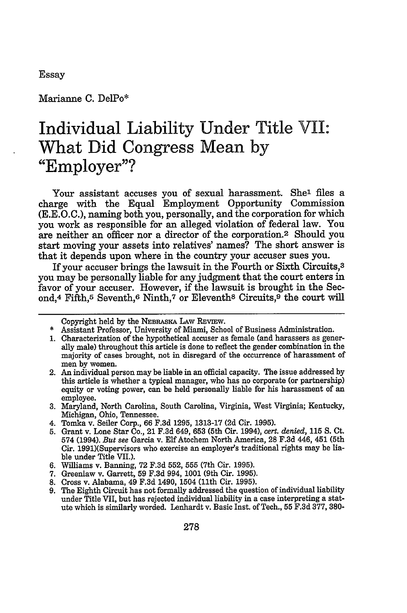Essay

Marianne C. DelPo\*

## **Individual Liability Under Title** VII: **What Did Congress Mean by "Employer"?**

Your assistant accuses you of sexual harassment. She<sup>1</sup> files a charge with the Equal Employment Opportunity Commission (E.E.O.C.), naming both you, personally, and the corporation for which you work as responsible for an alleged violation of federal law. You are neither an officer nor a director of the corporation.2 Should you start moving your assets into relatives' names? The short answer is that it depends upon where in the country your accuser sues you.

If your accuser brings the lawsuit in the Fourth or Sixth Circuits,<sup>3</sup> you may be personally liable for any judgment that the court enters in favor of your accuser. However, if the lawsuit is brought in the Second,<sup>4</sup> Fifth,<sup>5</sup> Seventh,<sup>6</sup> Ninth,<sup>7</sup> or Eleventh<sup>8</sup> Circuits,<sup>9</sup> the court will

Copyright held by the NEBRASKA LAw REvIEw.

- 3. Maryland, North Carolina, South Carolina, Virginia, West Virginia; Kentucky, Michigan, Ohio, Tennessee.
- 4. Tomka v. Seller Corp., 66 F.3d 1295, 1313-17 (2d Cir. 1995).
- 5. Grant v. Lone Star Co., 21 F.3d 649, 653 (5th Cir. 1994), *cert. denied,* 115 **S.** Ct. 574 (1994). *But see* Garcia v. Elf Atochem North America, 28 F.3d 446, 451 (5th Cir. 1991)(Supervisors who exercise an employer's traditional rights may be liable under Title VII.).
- 6. Williams v. Banning, 72 F.3d 552, 555 (7th Cir. 1995).
- 7. Greenlaw v. Garrett, **59** F.3d 994, 1001 (9th Cir. 1995).
- 8. Cross v. Alabama, 49 F.3d 1490, 1504 (11th Cir. 1995).
- 9. The Eighth Circuit has not formally addressed the question of individual liability under Title VII, but has rejected individual liability in a case interpreting a statute which is similarly worded. Lenhardt v. Basic Inst. of Tech., 55 F.3d 377, 380-

<sup>\*</sup> Assistant Professor, University of Miami, School of Business Administration.

<sup>1.</sup> Characterization of the hypothetical accuser as female (and harassers as generally male) throughout this article is done to reflect the gender combination in the majority of cases brought, not in disregard of the occurrence of harassment of

men by women. 2. An individual person may be liable in an official capacity. The issue addressed by this article is whether a typical manager, who has no corporate (or partnership) equity or voting power, can be held personally liable for his harassment of an employee.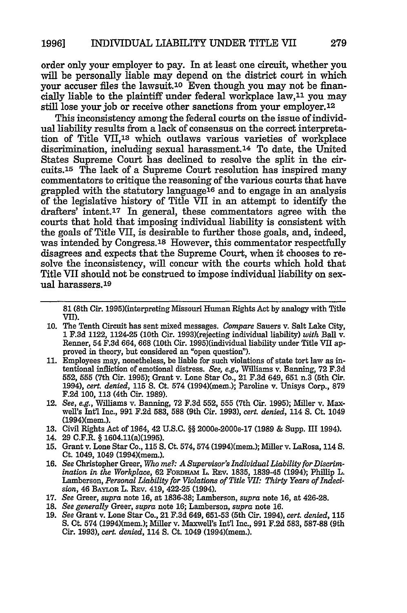order only your employer to pay. In at least one circuit, whether you will be personally liable may depend on the district court in which your accuser files the lawsuit.1o Even though you may not be financially liable to the plaintiff under federal workplace law,<sup>11</sup> you may still lose your **job** or receive other sanctions from your employer.12

This inconsistency among the federal courts on the issue of individual liability results from a lack of consensus on the correct interpretation of Title VII,13 which outlaws various varieties of workplace discrimination, including sexual harassment.14 To date, the United States Supreme Court has declined to resolve the split in the circuits.15 The lack of a Supreme Court resolution has inspired many commentators to critique the reasoning of the various courts that have grappled with the statutory language<sup>16</sup> and to engage in an analysis of the legislative history of Title VII in an attempt to identify the drafters' intent.<sup>17</sup> In general, these commentators agree with the courts that hold that imposing individual liability is consistent with the goals of Title VII, is desirable to further those goals, and, indeed, was intended by Congress.18 However, this commentator respectfully disagrees and expects that the Supreme Court, when it chooses to resolve the inconsistency, will concur with the courts which hold that Title VII should not be construed to impose individual liability on sexual harassers.<sup>19</sup>

- **10.** The Tenth Circuit has sent mixed messages. *Compare* Sauers v. Salt Lake City, **<sup>1</sup>**F.3d 1122, 1124-25 (10th Cir. 1993)(rejecting individual liability) *with* Ball v. Renner, 54 **F.3d** 664, **668** (10th Cir. 1995)(individual liability under Title VII approved in theory, but considered an "open question").
- 11. Employees may, nonetheless, be liable for such violations of state tort law as intentional infliction of emotional distress. *See, e.g.,* Williams v. Banning, **72 F.3d** 552, 555 (7th Cir. 1995); Grant v. Lone Star Co., 21 F.3d 649, **651** n.3 (5th Cir. 1994), *cert. denied,* 115 **S.** Ct. 574 (1994)(mem.); Paroline v. Unisys Corp., **879** F.2d 100, **113** (4th Cir. 1989).
- 12. *See, e.g.,* Williams v. Banning, 72 F.3d 552, 555 (7th Cir. 1995); Miller v. Maxwell's Intl Inc., **991** F.2d 583, **588** (9th Cir. 1993), cert. *denied,* 114 S. Ct. 1049 (1994)(mem.).
- 13. Civil Rights Act of 1964, 42 U.S.C. §§ 2000e-2000e-17 (1989 & Supp. III 1994).
- 14. 29 C.F.R. § 1604.11(a)(1995).
- 15. Grant v. Lone Star Co., 115 **S.** Ct. 574, 574 (1994)(mem.); Miller v. LaRosa, 114 S. Ct. 1049, 1049 (1994)(mem.).
- **16.** *See* Christopher Greer, *Who me?: A Supervisor's Individual Liability for Discrimination in the Workplace,* 62 FoRDELAi L. REv. 1835, 1839-45 (1994); Phillip L. Lamberson, *Personal Liability for Violations of Title VII: Thirty Years of Indecision,* 46 BAYLOR L. REv. 419, 422-25 (1994).
- **17.** *See* Greer, *supra* note **16,** at 1836-38; Lamberson, *supra* note **16,** at 426-28.
- **18.** *See generally* Greer, *supra* note **16;** Lamberson, *supra* note **16.**
- **19.** *See* Grant v. Lone Star Co., 21 **F.3d** 649, 651-53 (5th Cir. 1994), *cert. denied,* 115 S. Ct. 574 (1994)(mem.); Miller v. Maxwell's Intl Inc., **991** F.2d 583, 587-88 (9th Cir. 1993), *cert. denied,* 114 **S.** Ct. 1049 (1994)(mem.).

**<sup>81</sup>** (8th Cir. 1995)(interpreting Missouri Human Rights Act by analogy with Title VII).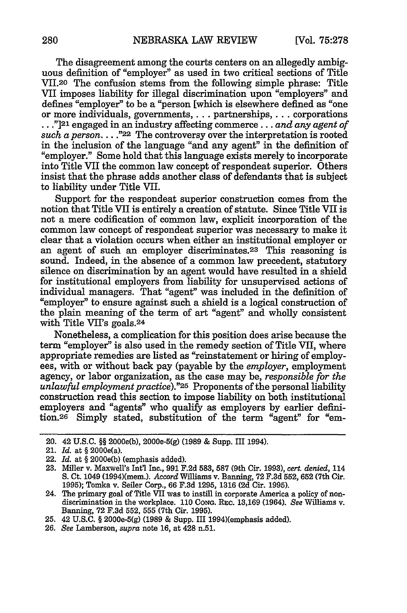The disagreement among the courts centers on an allegedly ambiguous definition of "employer" as used in two critical sections of Title VII.20 The confusion stems from the following simple phrase: Title VII imposes liability for illegal discrimination upon "employers" and defines "employer" to be a "person [which is elsewhere defined as "one or more individuals, governments.... partnerships,... corporations **. . ."]21** engaged in an industry affecting commerce **...** *and any agent of*  $such\ a\ person$ ...."<sup>22</sup> The controversy over the interpretation is rooted in the inclusion of the language "and any agent" in the definition of "employer." Some hold that this language exists merely to incorporate into Title VII the common law concept of respondeat superior. Others insist that the phrase adds another class of defendants that is subject to liability under Title VII.

Support for the respondeat superior construction comes from the notion that Title VII is entirely a creation of statute. Since Title VII is not a mere codification of common law, explicit incorporation of the common law concept of respondeat superior was necessary to make it clear that a violation occurs when either an institutional employer or an agent of such an employer discriminates. 23 This reasoning is sound. Indeed, in the absence of a common law precedent, statutory silence on discrimination by an agent would have resulted in a shield for institutional employers from liability for unsupervised actions of individual managers. That "agent" was included in the definition of "employer" to ensure against such a shield is a logical construction of the plain meaning of the term of art "agent" and wholly consistent with Title VII's goals.24

Nonetheless, a complication for this position does arise because the term "employer" is also used in the remedy section of Title VII, where appropriate remedies are listed as "reinstatement or hiring of employees, with or without back pay (payable by the *employer,* employment agency, or labor organization, as the case may be, *responsible for the unlawful employment practice)."25* Proponents of the personal liability construction read this section to impose liability on both institutional employers and "agents" who qualify as employers by earlier definition.26 Simply stated, substitution of the term "agent" for "em-

- 25. 42 U.S.C. § 2000e-5(g) (1989 & Supp. III 1994)(emphasis added).
- 26. *See* Lamberson, *supra* note **16,** at 428 n.51.

<sup>20. 42</sup> U.S.C. §§ 2000e(b), 2000e-5(g) (1989 & Supp. III 1994).

<sup>21.</sup> *Id.* at § 2000e(a).

<sup>22.</sup> *Id.* at § 2000e(b) (emphasis added).

**<sup>23.</sup>** Miller v. Maxwell's Intl Inc., **991 F.2d 583, 587** (9th Cir. **1993),** *cert. denied,* 114 S. Ct. 1049 (1994)(mem.). *Accord* Williams v. Banning, 72 F.3d 552, 652 (7th Cir. 1995); Tomka v. Seiler Corp., 66 F.3d 1295, 1316 **(2d** Cir. 1995).

<sup>24.</sup> The primary goal of Title VII was to instill in corporate America a policy of non-<br>discrimination in the workplace. 110 Cong. REC. 13,169 (1964). See Williams v.<br>Banning, 72 F.3d 552, 555 (7th Cir. 1995).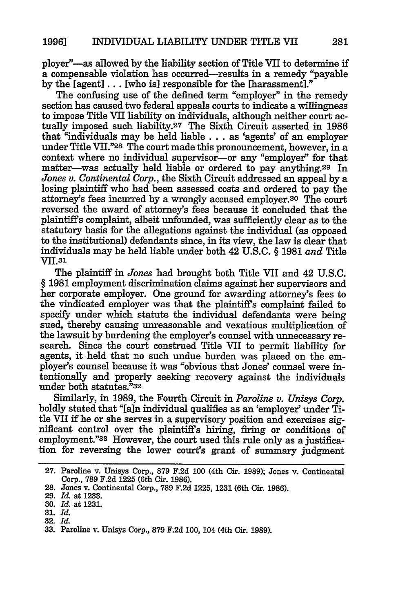ployer"-as allowed **by** the liability section of Title VII to determine if a compensable violation has occurred-results in a remedy "payable **by** the [agent] **...** [who is] responsible for the [harassment]."

The confusing use of the defined term "employer" in the remedy section has caused two federal appeals courts to indicate a willingness to impose Title VII liability on individuals, although neither court actually imposed such liability.27 The Sixth Circuit asserted in 1986 that "individuals may be held liable **...** as 'agents' of an employer under Title VII."28 The court made this pronouncement, however, in a context where no individual supervisor-or any "employer" for that matter-was actually held liable or ordered to pay anything.<sup>29</sup> In *Jones v. Continental Corp.,* the Sixth Circuit addressed an appeal by a losing plaintiff who had been assessed costs and ordered to pay the attorney's fees incurred by a wrongly accused employer.<sup>30</sup> The court reversed the award of attorney's fees because it concluded that the plaintiffs complaint, albeit unfounded, was sufficiently clear as to the statutory basis for the allegations against the individual (as opposed to the institutional) defendants since, in its view, the law is clear that individuals may be held liable under both 42 U.S.C. § 1981 *and* Title VII.<sup>31</sup>

The plaintiff in *Jones* had brought both Title VII and 42 U.S.C. § 1981 employment discrimination claims against her supervisors and her corporate employer. One ground for awarding attorney's fees to the vindicated employer was that the plaintiffs complaint failed to specify under which statute the individual defendants were being sued, thereby causing unreasonable and vexatious multiplication of the lawsuit by burdening the employer's counsel with unnecessary research. Since the court construed Title VII to permit liability for agents, it held that no such undue burden was placed on the employer's counsel because it was "obvious that Jones' counsel were intentionally and properly seeking recovery against the individuals under both statutes."32

Similarly, in 1989, the Fourth Circuit in *Paroline v. Unisys Corp.* boldly stated that "[ain individual qualifies as an 'employer' under Title VII if he or she serves in a supervisory position and exercises significant control over the plaintiffs hiring, firing or conditions of employment."33 However, the court used this rule only as a justification for reversing the lower court's grant of summary judgment

<sup>27.</sup> Paroline v. Unisys Corp., 879 F.2d **100** (4th Cir. 1989); Jones v. Continental Corp., 789 F.2d 1225 (6th Cir. 1986).

**<sup>28.</sup>** Jones v. Continental Corp., 789 F.2d 1225, 1231 (6th Cir. 1986).

**<sup>29.</sup>** *Id.* at 1233.

<sup>30.</sup> *Id.* at 1231.

<sup>31.</sup> *Id.*

**<sup>32.</sup>** *Id.*

<sup>33.</sup> Paroline v. Unisys Corp., **879** F.2d 100, 104 (4th Cir. 1989).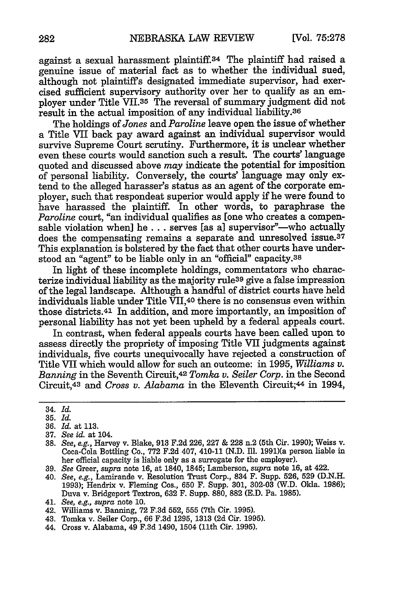against a sexual harassment plaintiff.<sup>34</sup> The plaintiff had raised a genuine issue of material fact as to whether the individual sued, although not plaintiffs designated immediate supervisor, had exercised sufficient supervisory authority over her to qualify as an employer under Title VII.35 The reversal of summary judgment did not result in the actual imposition of any individual liability.<sup>36</sup>

The holdings *of Jones* and *Paroline* leave open the issue of whether a Title VII back pay award against an individual supervisor would survive Supreme Court scrutiny. Furthermore, it is unclear whether even these courts would sanction such a result. The courts' language quoted and discussed above *may* indicate the potential for imposition of personal liability. Conversely, the courts' language may only extend to the alleged harasser's status as an agent of the corporate employer, such that respondeat superior would apply if he were found to have harassed the plaintiff. In other words, to paraphrase the *Paroline* court, "an individual qualifies as [one who creates a compensable violation when] he . . . serves [as a] supervisor<sup>"</sup>—who actually does the compensating remains a separate and unresolved issue.<sup>37</sup> This explanation is bolstered by the fact that other courts have understood an "agent" to be liable only in an "official" capacity.<sup>38</sup>

In light of these incomplete holdings, commentators who characterize individual liability as the majority rule<sup>39</sup> give a false impression of the legal landscape. Although a handful of district courts have held individuals liable under Title VII,4o there is no consensus even within those districts.41 In addition, and more importantly, an imposition of personal liability has not yet been upheld by a federal appeals court.

In contrast, when federal appeals courts have been called upon to assess directly the propriety of imposing Title VII judgments against individuals, five courts unequivocally have rejected a construction of Title VII which would allow for such an outcome: in 1995, *Williams v. Banning* in the Seventh Circuit,<sup>42</sup> Tomka v. Seiler Corp. in the Second Circuit,43 and *Cross v. Alabama* in the Eleventh Circuit;44 in 1994,

- 36. *Id.* at 113.
- **37.** *See id.* at 104.
- 38. *See, e.g.,* Harvey v. Blake, **913** F.2d 226, 227 & 228 n.2 (5th Cir. 1990); Weiss v. Coca-Cola Bottling Co., 772 F.2d 407, 410-11 (N.D. Ill. 1991)(a person liable in her official capacity is liable only as a surrogate for the employer).
- 39. *See* Greer, *supra* note **16,** at 1840, 1845; Lamberson, *supra* note **16,** at 422.
- 40. *See, e.g.,* Lamirande v. Resolution Trust Corp., 834 F. Supp. 526, **529** (D.N.H. 1993); Hendrix v. Fleming Cos., **650** F. Supp. 301, 302-03 (W.D. Okla. 1986); Duva v. Bridgeport Textron, **632** F. Supp. 880, 882 (E.D. Pa. 1985).
- 41. *See, e.g., supra* note **10.**
- 42. Williams v. Banning, 72 F.3d 552, **555** (7th Cir. 1995).
- 43. Tomka v. Seller Corp., 66 F.3d 1295, 1313 (2d Cir. 1995).
- 44. Cross v. Alabama, 49 F.3d 1490, 1504 (11th Cir. 1995).

<sup>34.</sup> *Id.*

<sup>35.</sup> *Id.*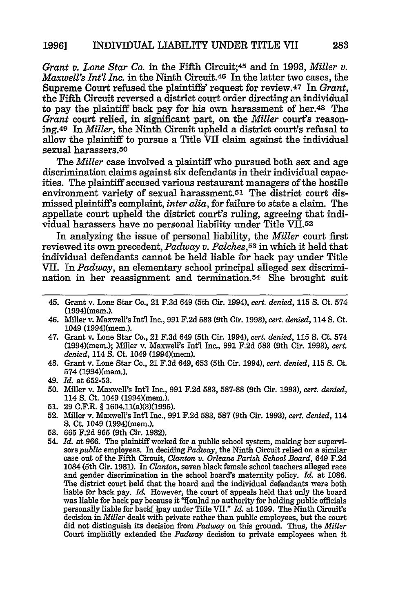*Grant v. Lone Star Co.* in the Fifth Circuit;45 and in **1993,** *Miller v. Maxwell's Int'l Inc.* in the Ninth Circuit.46 In the latter two cases, the Supreme Court refused the plaintiffs' request for review.<sup>47</sup> In *Grant*, the Fifth Circuit reversed a district court order directing an individual to pay the plaintiff back pay for his own harassment of her.48 The *Grant* court relied, in significant part, on the *Miller* court's reasoning.4 9 In *Miller,* the Ninth Circuit upheld a district court's refusal to allow the plaintiff to pursue a Title VII claim against the individual sexual harassers.5O

The *Miller* case involved a plaintiff who pursued both sex and age discrimination claims against six defendants in their individual capacities. The plaintiff accused various restaurant managers of the hostile environment variety of sexual harassment.51 The district court dis- missed plaintiffs complaint, *inter alia,* for failure to state a claim. The appellate court upheld the district court's ruling, agreeing that individual harassers have no personal liability under Title VII.52

In analyzing the issue of personal liability, the *Miller* court first reviewed its own precedent, *Padway v. Palches,53* in which it held that individual defendants cannot be held liable for back pay under Title VII. In *Padway,* an elementary school principal alleged sex discrimination in her reassignment and termination.54 She brought suit

- 45. Grant v. Lone Star Co., 21 F.3d 649 (5th Cir. 1994), *cert. denied,* 115 **S.** Ct. 574 (1994)(mem.).
- 46. Miller v. Maxwell's Intl Inc., **991** F.2d 583 (9th Cir. 1993), *cert. denied,* 114 S. Ct. 1049 (1994)(mem.).
- 47. Grant v. Lone Star Co., 21 F.3d 649 (5th Cir. 1994), *cert. denied,* **115 S.** Ct. 574 (1994)(mem.); Miller v. Maxwell's Int'l Inc., **991** F.2d 583 (9th Cir. 1993), *cert. denied,* 114 **S.** Ct. 1049 (1994)(mem).
- 48. Grant v. Lone Star Co., 21 F.3d 649, 653 (5th Cir. 1994), *cert. denied,* 115 **S.** Ct. 574 (1994)(mem.).
- 49. *Id.* at 652-53.
- 50. Miller v. Maxwell's Int'l Inc., **991** F.2d 583, 587-88 (9th Cir. 1993), *cert. denied,* 114 S. Ct. 1049 (1994)(mem.).
- **51.** 29 C.F.R. § 1604.11(a)(3)(1995).
- 52. Miller v. Maxwell's Int'l Inc., **991** F.2d 583, **587** (9th Cir. 1993), *cert. denied,* 114 S. Ct. 1049 (1994)(mem.).
- 53. 665 **F.2d** 965 (9th Cir. 1982).
- 54. *Id.* at 966. The plaintiff worked for a public school system, making her supervisors *public* employees. In deciding Padway, the Ninth Circuit relied on a similar case out of the Fifth Circuit, *Clanton v. Orleans Parish School Board,* 649 F.2d 1084 (5th Cir. 1981). In *Clanton,* seven black female school teachers alleged race and gender discrimination in the school board's maternity policy. *Id.* at 1086. The district court held that the board and the individual defendants were both liable for back pay. *Id.* However, the court of appeals held that only the board was liable for back pay because it "flou]nd no authority for holding public officials personally liable for back[ ]pay under Title VII." *Id.* at 1099. The Ninth Circuit's decision in *Miller* dealt with private rather than public employees, but the court did not distinguish its decision from *Padway* on this ground. Thus, the *Miller* Court implicitly extended the *Padway* decision to private employees when it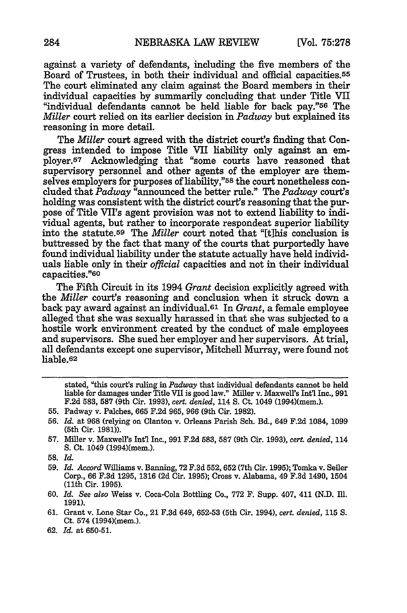against a variety of defendants, including the five members of the Board of Trustees, in both their individual and official capacities.55 The court eliminated any claim against the Board members in their individual capacities by summarily concluding that under Title VII "individual defendants cannot be held liable for back pay."56 The *Miller* court relied on its earlier decision in *Padway* but explained its reasoning in more detail.

The *Miller* court agreed with the district court's finding that Congress intended to impose Title VII liability only against an employer.57 Acknowledging that "some courts have reasoned that supervisory personnel and other agents of the employer are themselves employers for purposes of liability,"<sup>58</sup> the court nonetheless concluded that *Padway* <sup>"</sup>announced the better rule." The *Padway* court's holding was consistent with the district court's reasoning that the purpose of Title VII's agent provision was not to extend liability to individual agents, but rather to incorporate respondeat superior liability into the statute.59 The *Miller* court noted that "[t]his conclusion is buttressed by the fact that many of the courts that purportedly have found individual liability under the statute actually have held individuals liable only in their *official* capacities and not in their individual capacities."<sup>60</sup>

The Fifth Circuit in its 1994 *Grant* decision explicitly agreed with the *Miller* court's reasoning and conclusion when it struck down a back pay award against an individual.61 In *Grant,* a female employee alleged that she was sexually harassed in that she was subjected to a hostile work environment created by the conduct of male employees and supervisors. She sued her employer and her supervisors. At trial, all defendants except one supervisor, Mitchell Murray, were found not liable.62

stated, "this court's ruling in *Padway* that individual defendants cannot be held liable for damages under Title VII is good law." Miller v. Maxwell's Int'l Inc., **991** F.2d 583, **587** (9th Cir. 1993), *cert. denied,* 114 S. Ct. 1049 (1994)(mem.).

- 55. Padway v. Palches, **665** F.2d 965, 966 (9th Cir. 1982).
- 56. *Id.* at 968 (relying on Clanton v. Orleans Parish Sch. Bd., 649 F.2d 1084, 1099 (5th Cir. 1981)).
- **57.** Miller v. Maxwelrs Intl Inc., **991 F.2d 583, 587** (9th Cir. **1993),** *cert. denied,* 114 **S.** Ct. 1049 (1994)(mem.).
- **58.** *Id.*
- 59. *Id. Accord* Williams v. Banning, 72 F.3d 552,652 (7th Cir. 1995); Tomka v. Seller Corp., 66 F.3d 1295, **1316** (2d Cir. 1995); Cross v. Alabama, 49 F.3d 1490, 1504 (11th Cir. 1995).
- 60. *Id. See also* Weiss v. Coca-Cola Bottling Co., 772 F. Supp. 407, 411 (N.D. Ill. 1991).
- **61.** Grant v. Lone Star Co., 21 F.3d 649, 652-53 (5th Cir. 1994), *cert. denied,* **115 S.** Ct. 574 (1994)(mem.).
- 62. *Id.* at 650-51.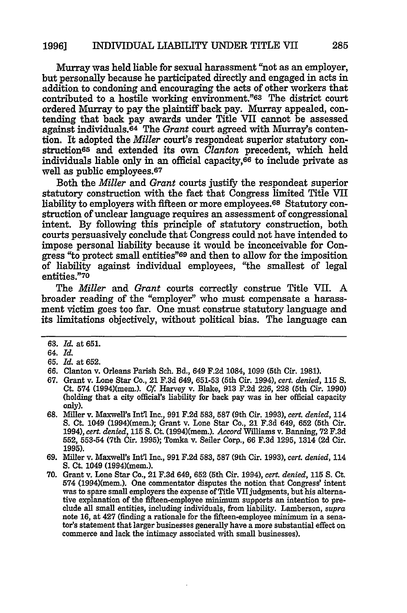Murray was held liable for sexual harassment "not as an employer, but personally because he participated directly and engaged in acts in addition to condoning and encouraging the acts of other workers that contributed to a hostile working environment."63 The district court ordered Murray to pay the plaintiff back pay. Murray appealed, contending that back pay awards under Title VII cannot be assessed against individuals.64 The *Grant* court agreed with Murray's contention. It adopted the *Miller* court's respondeat superior statutory construction<sup>65</sup> and extended its own *Clanton* precedent, which held individuals liable only in an official capacity,<sup>66</sup> to include private as well as public employees.<sup>67</sup>

Both the *Miller and Grant* courts justify the respondeat superior statutory construction with the fact that Congress limited Title VII liability to employers with fifteen or more employees. 68 Statutory construction of unclear language requires an assessment of congressional intent. By following this principle of statutory construction, both courts persuasively conclude that Congress could not have intended to impose personal liability because it would be inconceivable for Congress "to protect small entities"<sup>69</sup> and then to allow for the imposition of liability against individual employees, "the smallest of legal entities."70

The *Miller* and *Grant* courts correctly construe Title VII. A broader reading of the "employer" who must compensate a harassment victim goes too far. One must construe statutory language and its limitations objectively, without political bias. The language can

- 67. Grant v. Lone Star Co., 21 F.3d 649, **651-53** (5th Cir. 1994), *cert. denied,* 115 *S.* Ct. 574 (1994)(mem.). *Cf* Harvey v. Blake, 913 F.2d 226, 228 (5th Cir. 1990) (holding that a city official's liability for back pay was in her official capacity only).
- **68.** Miller v. Maxwell's Intl Inc., **991 F.2d 583, 587** (9th Cir. 1993), *cert. denied,* 114 S. Ct. 1049 (1994)(mem.); Grant v. Lone Star Co., 21 F.3d 649, **652** (5th Cir. 1994), *cert. denied,* 115 **S.** Ct. (1994)(mem.). *Accord* Williams v. Banning, 72 **F.3d 552, 553-54** (7th Cir. 1995); Tomka v. Seiler Corp., 66 F.3d 1295, 1314 (2d Cir. **1995).**

**70.** Grant v. Lone Star Co., 21 F.3d 649, **652** (5th Cir. 1994), *cert. denied,* **115** S. Ct. 574 (1994)(mem.). One commentator disputes the notion that Congress' intent was to spare small employers the expense of Title VII judgments, but his alternative explanation of the fifteen-employee minimum supports an intention to preclude all small entities, including individuals, from liability. Lamberson, *supra* note **16,** at 427 (finding a rationale for the fifteen-employee minimum in a sena- tor's statement that larger businesses generally have a more substantial effect on commerce and lack the intimacy associated with small businesses).

<sup>63.</sup> *Id.* at **651.**

<sup>64.</sup> *Id.*

**<sup>65.</sup>** *Id.* at 652.

<sup>66.</sup> Clanton v. Orleans Parish Sch. Bd., 649 F.2d 1084, 1099 (5th Cir. **1981).**

<sup>69.</sup> Miller v. Maxwell's Int'l Inc., 991 F.2d **583, 587** (9th Cir. 1993), *cert. denied,* 114 **S.** Ct. 1049 (1994)(mem.).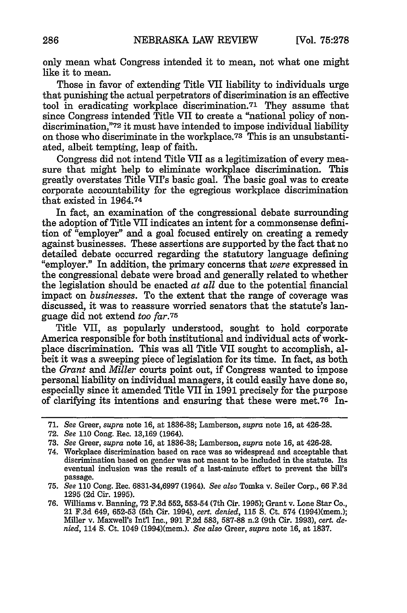only mean what Congress intended it to mean, not what one might like it to mean.

Those in favor of extending Title VII liability to individuals urge that punishing the actual perpetrators of discrimination is an effective tool in eradicating workplace discrimination.71 They assume that since Congress intended Title VII to create a "national policy of nondiscrimination,"72 it must have intended to impose individual liability on those who discriminate in the workplace.73 This is an unsubstantiated, albeit tempting, leap of faith.

Congress did not intend Title VII as a legitimization of every measure that might help to eliminate workplace discrimination. This greatly overstates Title VII's basic goal. The basic goal was to create corporate accountability for the egregious workplace discrimination that existed in 1964.74

In fact, an examination of the congressional debate surrounding the adoption of Title VII indicates an intent for a commonsense definition of "employer" and a goal focused entirely on creating a remedy against businesses. These assertions are supported by the fact that no detailed debate occurred regarding the statutory language defining "employer." In addition, the primary concerns that *were* expressed in the congressional debate were broad and generally related to whether the legislation should be enacted at *all* due to the potential financial impact on *businesses.* To the extent that the range of coverage was discussed, it was to reassure worried senators that the statute's language did not extend *too far.75*

Title VII, as popularly understood, sought to hold corporate America responsible for both institutional and individual acts of workplace discrimination. This was all Title VII sought to accomplish, albeit it was a sweeping piece of legislation for its time. In fact, as both the *Grant* and *Miller* courts point out, if Congress wanted to impose personal liability on individual managers, it could easily have done so, especially since it amended Title VII in 1991 precisely for the purpose of clarifying its intentions and ensuring that these were met.76 In-

**<sup>71.</sup>** *See* Greer, *supra* note **16,** at 1836-38; Lamberson, *supra* note **16,** at 426-28.

<sup>72.</sup> *See* 110 Cong. Rec. 13,169 (1964).

<sup>73.</sup> *See* Greer, *supra* note **16,** at 1836-38; Lamberson, *supra* note **16,** at 426-28.

<sup>74.</sup> Workplace discrimination based on race was so widespread and acceptable that discrimination based on gender was not meant to be included in the statute. Its eventual inclusion was the result of a last-minute effort to prevent the bill's passage.

<sup>75.</sup> *See* 110 Cong. Rec. 6831-34,6997 (1964). *See also* Tomka v. Seiler Corp., 66 F.3d 1295 (2d Cir. 1995).

**<sup>76.</sup>** Williams v. Banning, **72 F.3d 552, 553-54** (7th Cir. **1995);** Grant v. Lone Star Co., 21 F.3d 649, 652-53 (5th Cir. 1994), *cert. denied,* **115** S. Ct. 574 (1994)(mem.); Miller v. Maxwell's Int'l Inc., **991** F.2d 583, 587-88 n.2 (9th Cir. 1993), *cert. denied,* 114 S. Ct. 1049 (1994)(mem.). *See also* Greer, *supra* note **16,** at 1837.